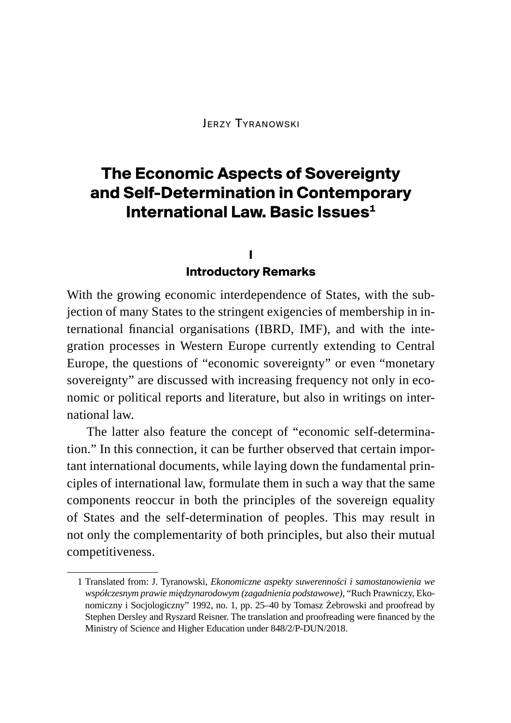Jerzy Tyranowski

# **The Economic Aspects of Sovereignty and Self-Determination in Contemporary International Law. Basic Issues<sup>1</sup>**

## **I**

#### **Introductory Remarks**

With the growing economic interdependence of States, with the subjection of many States to the stringent exigencies of membership in international financial organisations (IBRD, IMF), and with the integration processes in Western Europe currently extending to Central Europe, the questions of "economic sovereignty" or even "monetary sovereignty" are discussed with increasing frequency not only in economic or political reports and literature, but also in writings on international law.

The latter also feature the concept of "economic self-determination." In this connection, it can be further observed that certain important international documents, while laying down the fundamental principles of international law, formulate them in such a way that the same components reoccur in both the principles of the sovereign equality of States and the self-determination of peoples. This may result in not only the complementarity of both principles, but also their mutual competitiveness.

<sup>1</sup> Translated from: J. Tyranowski, *Ekonomiczne aspekty suwerenności i samostanowienia we współczesnym prawie międzynarodowym (zagadnienia podstawowe)*, "Ruch Prawniczy, Ekonomiczny i Socjologiczny" 1992, no. 1, pp. 25–40 by Tomasz Żebrowski and proofread by Stephen Dersley and Ryszard Reisner. The translation and proofreading were financed by the Ministry of Science and Higher Education under 848/2/P-DUN/2018.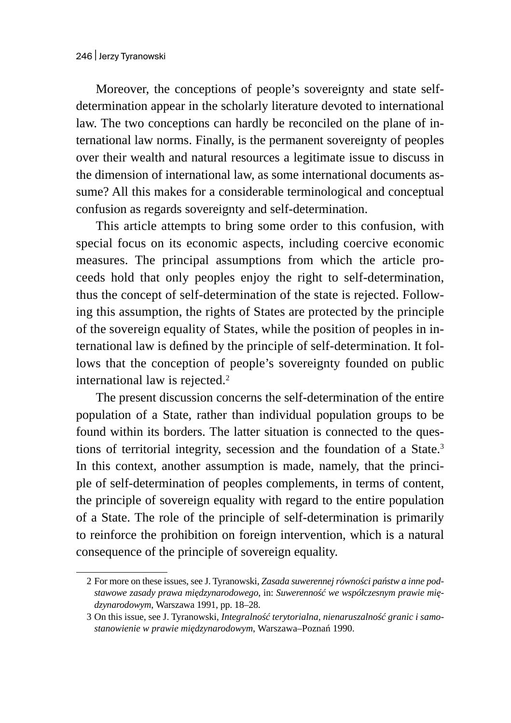Moreover, the conceptions of people's sovereignty and state selfdetermination appear in the scholarly literature devoted to international law. The two conceptions can hardly be reconciled on the plane of international law norms. Finally, is the permanent sovereignty of peoples over their wealth and natural resources a legitimate issue to discuss in the dimension of international law, as some international documents assume? All this makes for a considerable terminological and conceptual confusion as regards sovereignty and self-determination.

This article attempts to bring some order to this confusion, with special focus on its economic aspects, including coercive economic measures. The principal assumptions from which the article proceeds hold that only peoples enjoy the right to self-determination, thus the concept of self-determination of the state is rejected. Following this assumption, the rights of States are protected by the principle of the sovereign equality of States, while the position of peoples in international law is defined by the principle of self-determination. It follows that the conception of people's sovereignty founded on public international law is rejected.<sup>2</sup>

The present discussion concerns the self-determination of the entire population of a State, rather than individual population groups to be found within its borders. The latter situation is connected to the questions of territorial integrity, secession and the foundation of a State.<sup>3</sup> In this context, another assumption is made, namely, that the principle of self-determination of peoples complements, in terms of content, the principle of sovereign equality with regard to the entire population of a State. The role of the principle of self-determination is primarily to reinforce the prohibition on foreign intervention, which is a natural consequence of the principle of sovereign equality.

<sup>2</sup> For more on these issues, see J. Tyranowski, *Zasada suwerennej równości państw a inne podstawowe zasady prawa międzynarodowego*, in: *Suwerenność we współczesnym prawie międzynarodowym*, Warszawa 1991, pp. 18–28.

<sup>3</sup> On this issue, see J. Tyranowski, *Integralność terytorialna, nienaruszalność granic i samostanowienie w prawie międzynarodowym*, Warszawa–Poznań 1990.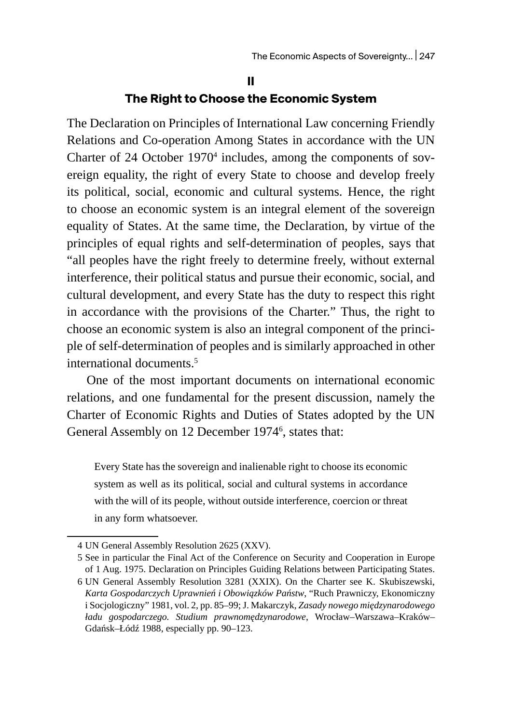#### **II**

#### **The Right to Choose the Economic System**

The Declaration on Principles of International Law concerning Friendly Relations and Co-operation Among States in accordance with the UN Charter of 24 October 1970<sup>4</sup> includes, among the components of sovereign equality, the right of every State to choose and develop freely its political, social, economic and cultural systems. Hence, the right to choose an economic system is an integral element of the sovereign equality of States. At the same time, the Declaration, by virtue of the principles of equal rights and self-determination of peoples, says that "all peoples have the right freely to determine freely, without external interference, their political status and pursue their economic, social, and cultural development, and every State has the duty to respect this right in accordance with the provisions of the Charter." Thus, the right to choose an economic system is also an integral component of the principle of self-determination of peoples and is similarly approached in other international documents.<sup>5</sup>

One of the most important documents on international economic relations, and one fundamental for the present discussion, namely the Charter of Economic Rights and Duties of States adopted by the UN General Assembly on 12 December 1974<sup>6</sup>, states that:

Every State has the sovereign and inalienable right to choose its economic system as well as its political, social and cultural systems in accordance with the will of its people, without outside interference, coercion or threat in any form whatsoever.

<sup>4</sup> UN General Assembly Resolution 2625 (XXV).

<sup>5</sup> See in particular the Final Act of the Conference on Security and Cooperation in Europe of 1 Aug. 1975. Declaration on Principles Guiding Relations between Participating States.

<sup>6</sup> UN General Assembly Resolution 3281 (XXIX). On the Charter see K. Skubiszewski, *Karta Gospodarczych Uprawnień i Obowiązków Państw*, "Ruch Prawniczy, Ekonomiczny i Socjologiczny" 1981, vol. 2, pp. 85–99; J. Makarczyk, *Zasady nowego międzynarodowego ładu gospodarczego. Studium prawnomędzynarodowe*, Wrocław–Warszawa–Kraków– Gdańsk–Łódź 1988, especially pp. 90–123.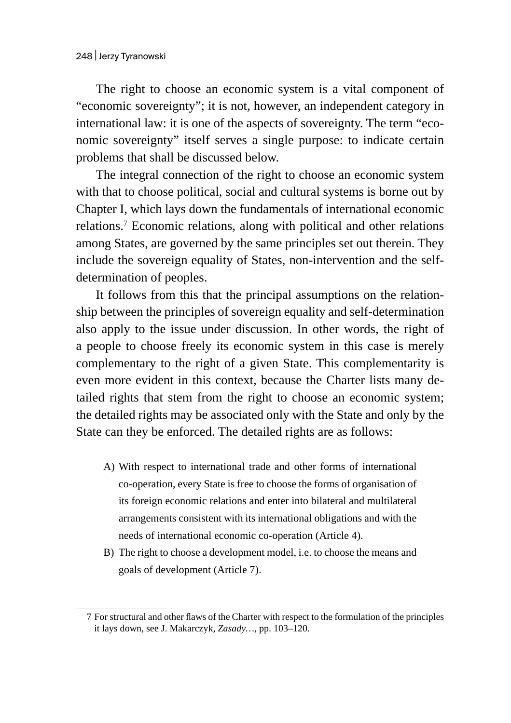The right to choose an economic system is a vital component of "economic sovereignty"; it is not, however, an independent category in international law: it is one of the aspects of sovereignty. The term "economic sovereignty" itself serves a single purpose: to indicate certain problems that shall be discussed below.

The integral connection of the right to choose an economic system with that to choose political, social and cultural systems is borne out by Chapter I, which lays down the fundamentals of international economic relations.<sup>7</sup> Economic relations, along with political and other relations among States, are governed by the same principles set out therein. They include the sovereign equality of States, non-intervention and the selfdetermination of peoples.

It follows from this that the principal assumptions on the relationship between the principles of sovereign equality and self-determination also apply to the issue under discussion. In other words, the right of a people to choose freely its economic system in this case is merely complementary to the right of a given State. This complementarity is even more evident in this context, because the Charter lists many detailed rights that stem from the right to choose an economic system; the detailed rights may be associated only with the State and only by the State can they be enforced. The detailed rights are as follows:

- A) With respect to international trade and other forms of international co-operation, every State is free to choose the forms of organisation of its foreign economic relations and enter into bilateral and multilateral arrangements consistent with its international obligations and with the needs of international economic co-operation (Article 4).
- B) The right to choose a development model, i.e. to choose the means and goals of development (Article 7).

<sup>7</sup> For structural and other flaws of the Charter with respect to the formulation of the principles it lays down, see J. Makarczyk, *Zasady…*, pp. 103–120.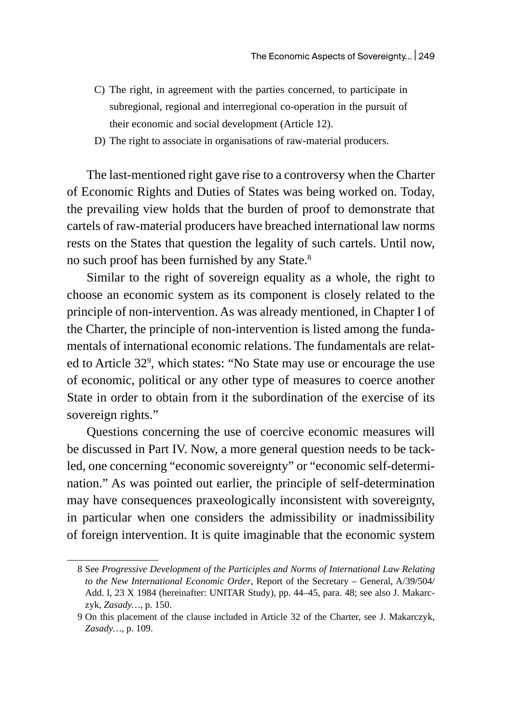- C) The right, in agreement with the parties concerned, to participate in subregional, regional and interregional co-operation in the pursuit of their economic and social development (Article 12).
- D) The right to associate in organisations of raw-material producers.

The last-mentioned right gave rise to a controversy when the Charter of Economic Rights and Duties of States was being worked on. Today, the prevailing view holds that the burden of proof to demonstrate that cartels of raw-material producers have breached international law norms rests on the States that question the legality of such cartels. Until now, no such proof has been furnished by any State.<sup>8</sup>

Similar to the right of sovereign equality as a whole, the right to choose an economic system as its component is closely related to the principle of non-intervention. As was already mentioned, in Chapter I of the Charter, the principle of non-intervention is listed among the fundamentals of international economic relations. The fundamentals are related to Article 32<sup>9</sup>, which states: "No State may use or encourage the use of economic, political or any other type of measures to coerce another State in order to obtain from it the subordination of the exercise of its sovereign rights."

Questions concerning the use of coercive economic measures will be discussed in Part IV. Now, a more general question needs to be tackled, one concerning "economic sovereignty" or "economic self-determination." As was pointed out earlier, the principle of self-determination may have consequences praxeologically inconsistent with sovereignty, in particular when one considers the admissibility or inadmissibility of foreign intervention. It is quite imaginable that the economic system

<sup>8</sup> See *Progressive Development of the Participles and Norms of International Law Relating to the New International Economic Order*, Report of the Secretary – General, A/39/504/ Add. l, 23 X 1984 (hereinafter: UNITAR Study), pp. 44–45, para. 48; see also J. Makarczyk, *Zasady…*, p. 150.

<sup>9</sup> On this placement of the clause included in Article 32 of the Charter, see J. Makarczyk, *Zasady…*, p. 109.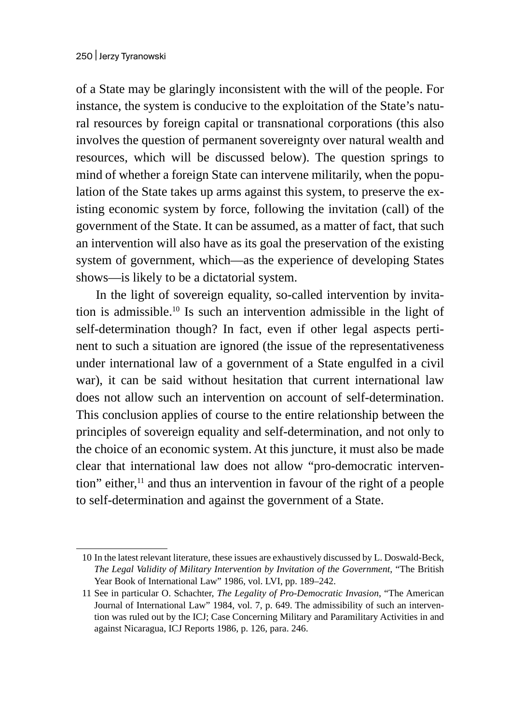of a State may be glaringly inconsistent with the will of the people. For instance, the system is conducive to the exploitation of the State's natural resources by foreign capital or transnational corporations (this also involves the question of permanent sovereignty over natural wealth and resources, which will be discussed below). The question springs to mind of whether a foreign State can intervene militarily, when the population of the State takes up arms against this system, to preserve the existing economic system by force, following the invitation (call) of the government of the State. It can be assumed, as a matter of fact, that such an intervention will also have as its goal the preservation of the existing system of government, which—as the experience of developing States shows—is likely to be a dictatorial system.

In the light of sovereign equality, so-called intervention by invitation is admissible.10 Is such an intervention admissible in the light of self-determination though? In fact, even if other legal aspects pertinent to such a situation are ignored (the issue of the representativeness under international law of a government of a State engulfed in a civil war), it can be said without hesitation that current international law does not allow such an intervention on account of self-determination. This conclusion applies of course to the entire relationship between the principles of sovereign equality and self-determination, and not only to the choice of an economic system. At this juncture, it must also be made clear that international law does not allow "pro-democratic intervention" either,<sup>11</sup> and thus an intervention in favour of the right of a people to self-determination and against the government of a State.

<sup>10</sup> In the latest relevant literature, these issues are exhaustively discussed by L. Doswald-Beck, *The Legal Validity of Military Intervention by Invitation of the Government*, "The British Year Book of International Law" 1986, vol. LVI, pp. 189–242.

<sup>11</sup> See in particular O. Schachter, *The Legality of Pro-Democratic Invasion*, "The American Journal of International Law" 1984, vol. 7, p. 649. The admissibility of such an intervention was ruled out by the ICJ; Case Concerning Military and Paramilitary Activities in and against Nicaragua, ICJ Reports 1986, p. 126, para. 246.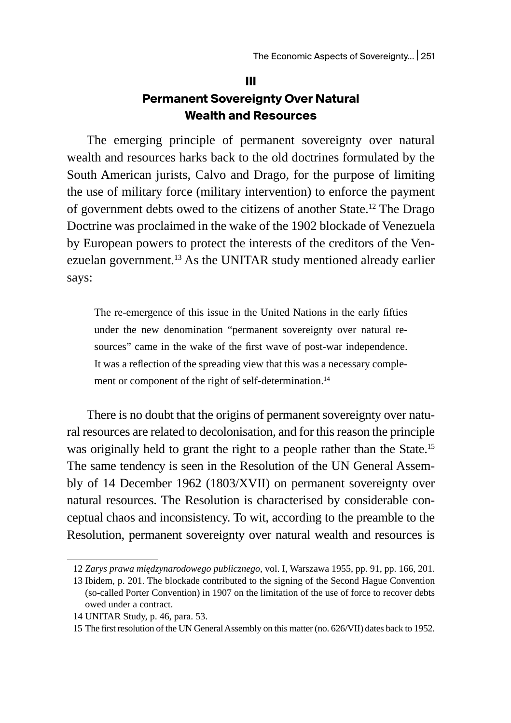## **III Permanent Sovereignty Over Natural Wealth and Resources**

The emerging principle of permanent sovereignty over natural wealth and resources harks back to the old doctrines formulated by the South American jurists, Calvo and Drago, for the purpose of limiting the use of military force (military intervention) to enforce the payment of government debts owed to the citizens of another State.12 The Drago Doctrine was proclaimed in the wake of the 1902 blockade of Venezuela by European powers to protect the interests of the creditors of the Venezuelan government.<sup>13</sup> As the UNITAR study mentioned already earlier says:

The re-emergence of this issue in the United Nations in the early fifties under the new denomination "permanent sovereignty over natural resources" came in the wake of the first wave of post-war independence. It was a reflection of the spreading view that this was a necessary complement or component of the right of self-determination.<sup>14</sup>

There is no doubt that the origins of permanent sovereignty over natural resources are related to decolonisation, and for this reason the principle was originally held to grant the right to a people rather than the State.<sup>15</sup> The same tendency is seen in the Resolution of the UN General Assembly of 14 December 1962 (1803/XVII) on permanent sovereignty over natural resources. The Resolution is characterised by considerable conceptual chaos and inconsistency. To wit, according to the preamble to the Resolution, permanent sovereignty over natural wealth and resources is

<sup>12</sup> *Zarys prawa międzynarodowego publicznego*, vol. I, Warszawa 1955, pp. 91, pp. 166, 201.

<sup>13</sup> Ibidem, p. 201. The blockade contributed to the signing of the Second Hague Convention (so-called Porter Convention) in 1907 on the limitation of the use of force to recover debts owed under a contract.

<sup>14</sup> UNITAR Study, p. 46, para. 53.

<sup>15</sup> The first resolution of the UN General Assembly on this matter (no. 626/VII) dates back to 1952.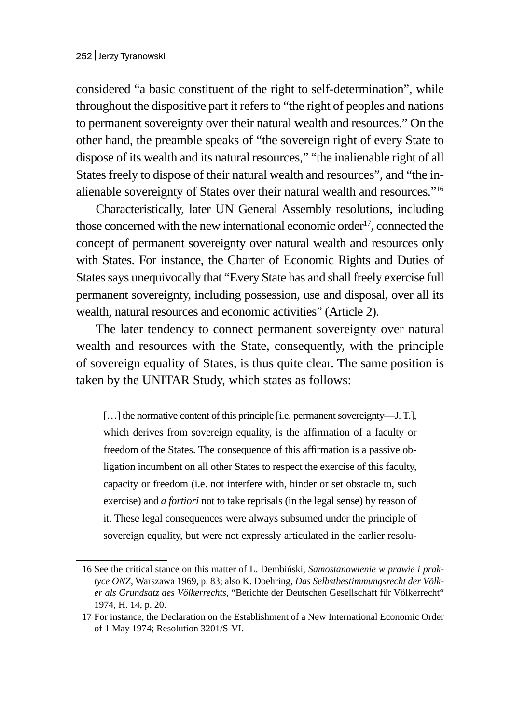considered "a basic constituent of the right to self-determination", while throughout the dispositive part it refers to "the right of peoples and nations to permanent sovereignty over their natural wealth and resources." On the other hand, the preamble speaks of "the sovereign right of every State to dispose of its wealth and its natural resources," "the inalienable right of all States freely to dispose of their natural wealth and resources", and "the inalienable sovereignty of States over their natural wealth and resources."16

Characteristically, later UN General Assembly resolutions, including those concerned with the new international economic order<sup>17</sup>, connected the concept of permanent sovereignty over natural wealth and resources only with States. For instance, the Charter of Economic Rights and Duties of States says unequivocally that "Every State has and shall freely exercise full permanent sovereignty, including possession, use and disposal, over all its wealth, natural resources and economic activities" (Article 2).

The later tendency to connect permanent sovereignty over natural wealth and resources with the State, consequently, with the principle of sovereign equality of States, is thus quite clear. The same position is taken by the UNITAR Study, which states as follows:

[...] the normative content of this principle [i.e. permanent sovereignty—J. T.], which derives from sovereign equality, is the affirmation of a faculty or freedom of the States. The consequence of this affirmation is a passive obligation incumbent on all other States to respect the exercise of this faculty, capacity or freedom (i.e. not interfere with, hinder or set obstacle to, such exercise) and *a fortiori* not to take reprisals (in the legal sense) by reason of it. These legal consequences were always subsumed under the principle of sovereign equality, but were not expressly articulated in the earlier resolu-

<sup>16</sup> See the critical stance on this matter of L. Dembiński, *Samostanowienie w prawie i praktyce ONZ*, Warszawa 1969, p. 83; also K. Doehring, *Das Selbstbestimmungsrecht der Völker als Grundsatz des Völkerrechts*, "Berichte der Deutschen Gesellschaft für Völkerrecht" 1974, H. 14, p. 20.

<sup>17</sup> For instance, the Declaration on the Establishment of a New International Economic Order of 1 May 1974; Resolution 3201/S-VI.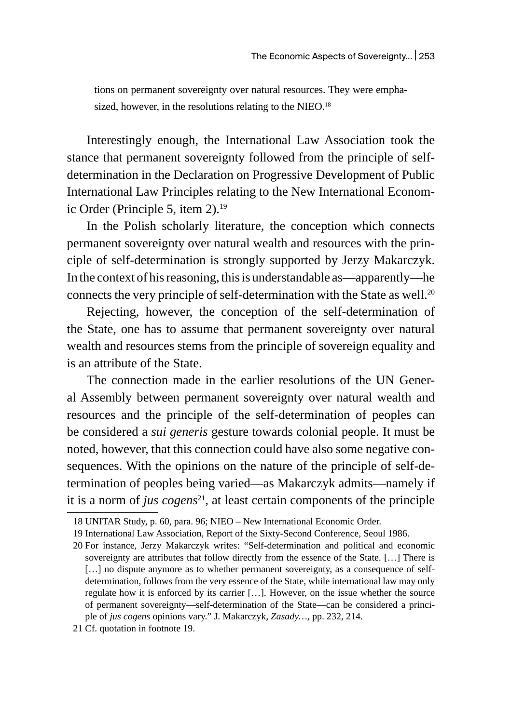tions on permanent sovereignty over natural resources. They were emphasized, however, in the resolutions relating to the NIEO.<sup>18</sup>

Interestingly enough, the International Law Association took the stance that permanent sovereignty followed from the principle of selfdetermination in the Declaration on Progressive Development of Public International Law Principles relating to the New International Economic Order (Principle 5, item 2).<sup>19</sup>

In the Polish scholarly literature, the conception which connects permanent sovereignty over natural wealth and resources with the principle of self-determination is strongly supported by Jerzy Makarczyk. In the context of his reasoning, this is understandable as—apparently—he connects the very principle of self-determination with the State as well.<sup>20</sup>

Rejecting, however, the conception of the self-determination of the State, one has to assume that permanent sovereignty over natural wealth and resources stems from the principle of sovereign equality and is an attribute of the State.

The connection made in the earlier resolutions of the UN General Assembly between permanent sovereignty over natural wealth and resources and the principle of the self-determination of peoples can be considered a *sui generis* gesture towards colonial people. It must be noted, however, that this connection could have also some negative consequences. With the opinions on the nature of the principle of self-determination of peoples being varied—as Makarczyk admits—namely if it is a norm of *jus cogens*<sup>21</sup>, at least certain components of the principle

<sup>18</sup> UNITAR Study, p. 60, para. 96; NIEO – New International Economic Order.

<sup>19</sup> International Law Association, Report of the Sixty-Second Conference, Seoul 1986.

<sup>20</sup> For instance, Jerzy Makarczyk writes: "Self-determination and political and economic sovereignty are attributes that follow directly from the essence of the State. […] There is [...] no dispute anymore as to whether permanent sovereignty, as a consequence of selfdetermination, follows from the very essence of the State, while international law may only regulate how it is enforced by its carrier […]. However, on the issue whether the source of permanent sovereignty—self-determination of the State—can be considered a principle of *jus cogens* opinions vary." J. Makarczyk, *Zasady…*, pp. 232, 214.

<sup>21</sup> Cf. quotation in footnote 19.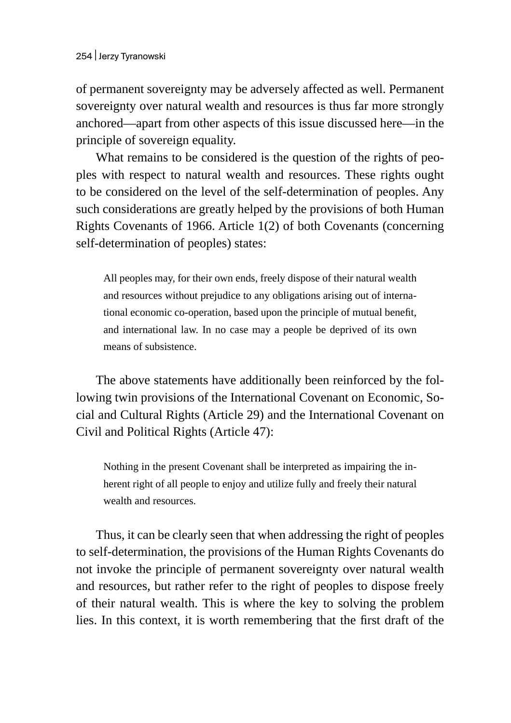of permanent sovereignty may be adversely affected as well. Permanent sovereignty over natural wealth and resources is thus far more strongly anchored—apart from other aspects of this issue discussed here—in the principle of sovereign equality.

What remains to be considered is the question of the rights of peoples with respect to natural wealth and resources. These rights ought to be considered on the level of the self-determination of peoples. Any such considerations are greatly helped by the provisions of both Human Rights Covenants of 1966. Article 1(2) of both Covenants (concerning self-determination of peoples) states:

All peoples may, for their own ends, freely dispose of their natural wealth and resources without prejudice to any obligations arising out of international economic co-operation, based upon the principle of mutual benefit, and international law. In no case may a people be deprived of its own means of subsistence.

The above statements have additionally been reinforced by the following twin provisions of the International Covenant on Economic, Social and Cultural Rights (Article 29) and the International Covenant on Civil and Political Rights (Article 47):

Nothing in the present Covenant shall be interpreted as impairing the inherent right of all people to enjoy and utilize fully and freely their natural wealth and resources.

Thus, it can be clearly seen that when addressing the right of peoples to self-determination, the provisions of the Human Rights Covenants do not invoke the principle of permanent sovereignty over natural wealth and resources, but rather refer to the right of peoples to dispose freely of their natural wealth. This is where the key to solving the problem lies. In this context, it is worth remembering that the first draft of the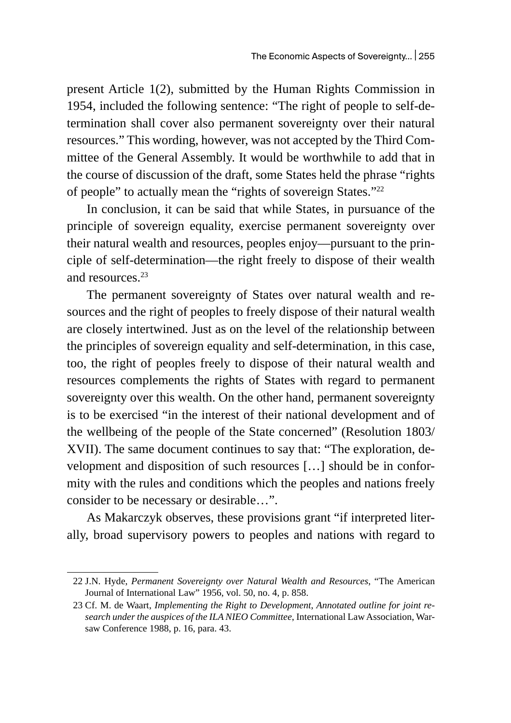present Article 1(2), submitted by the Human Rights Commission in 1954, included the following sentence: "The right of people to self-determination shall cover also permanent sovereignty over their natural resources." This wording, however, was not accepted by the Third Committee of the General Assembly. It would be worthwhile to add that in the course of discussion of the draft, some States held the phrase "rights of people" to actually mean the "rights of sovereign States."<sup>22</sup>

In conclusion, it can be said that while States, in pursuance of the principle of sovereign equality, exercise permanent sovereignty over their natural wealth and resources, peoples enjoy—pursuant to the principle of self-determination—the right freely to dispose of their wealth and resources.<sup>23</sup>

The permanent sovereignty of States over natural wealth and resources and the right of peoples to freely dispose of their natural wealth are closely intertwined. Just as on the level of the relationship between the principles of sovereign equality and self-determination, in this case, too, the right of peoples freely to dispose of their natural wealth and resources complements the rights of States with regard to permanent sovereignty over this wealth. On the other hand, permanent sovereignty is to be exercised "in the interest of their national development and of the wellbeing of the people of the State concerned" (Resolution 1803/ XVII). The same document continues to say that: "The exploration, development and disposition of such resources […] should be in conformity with the rules and conditions which the peoples and nations freely consider to be necessary or desirable…".

As Makarczyk observes, these provisions grant "if interpreted literally, broad supervisory powers to peoples and nations with regard to

<sup>22</sup> J.N. Hyde, *Permanent Sovereignty over Natural Wealth and Resources*, "The American Journal of International Law" 1956, vol. 50, no. 4, p. 858.

<sup>23</sup> Cf. M. de Waart, *Implementing the Right to Development*, *Annotated outline for joint research under the auspices of the ILA NIEO Committee*, International Law Association, Warsaw Conference 1988, p. 16, para. 43.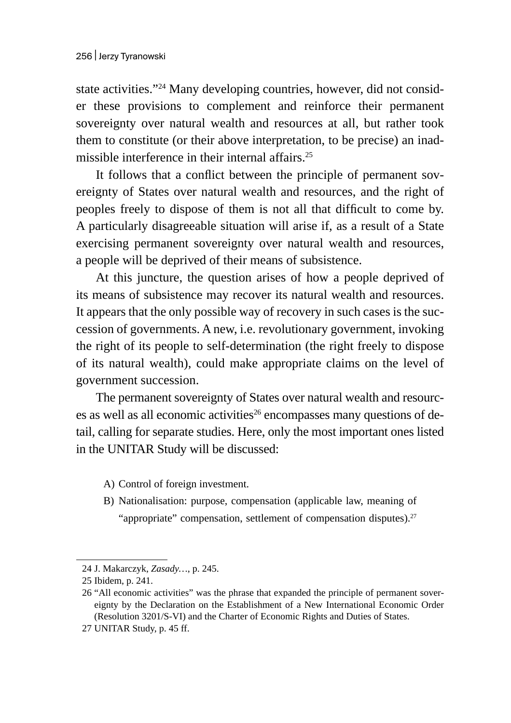state activities."24 Many developing countries, however, did not consider these provisions to complement and reinforce their permanent sovereignty over natural wealth and resources at all, but rather took them to constitute (or their above interpretation, to be precise) an inadmissible interference in their internal affairs.<sup>25</sup>

It follows that a conflict between the principle of permanent sovereignty of States over natural wealth and resources, and the right of peoples freely to dispose of them is not all that difficult to come by. A particularly disagreeable situation will arise if, as a result of a State exercising permanent sovereignty over natural wealth and resources, a people will be deprived of their means of subsistence.

At this juncture, the question arises of how a people deprived of its means of subsistence may recover its natural wealth and resources. It appears that the only possible way of recovery in such cases is the succession of governments. A new, i.e. revolutionary government, invoking the right of its people to self-determination (the right freely to dispose of its natural wealth), could make appropriate claims on the level of government succession.

The permanent sovereignty of States over natural wealth and resources as well as all economic activities<sup>26</sup> encompasses many questions of detail, calling for separate studies. Here, only the most important ones listed in the UNITAR Study will be discussed:

- A) Control of foreign investment.
- B) Nationalisation: purpose, compensation (applicable law, meaning of "appropriate" compensation, settlement of compensation disputes). $27$

<sup>24</sup> J. Makarczyk, *Zasady…*, p. 245.

<sup>25</sup> Ibidem, p. 241.

<sup>26</sup> "All economic activities" was the phrase that expanded the principle of permanent sovereignty by the Declaration on the Establishment of a New International Economic Order (Resolution 3201/S-VI) and the Charter of Economic Rights and Duties of States.

<sup>27</sup> UNITAR Study, p. 45 ff.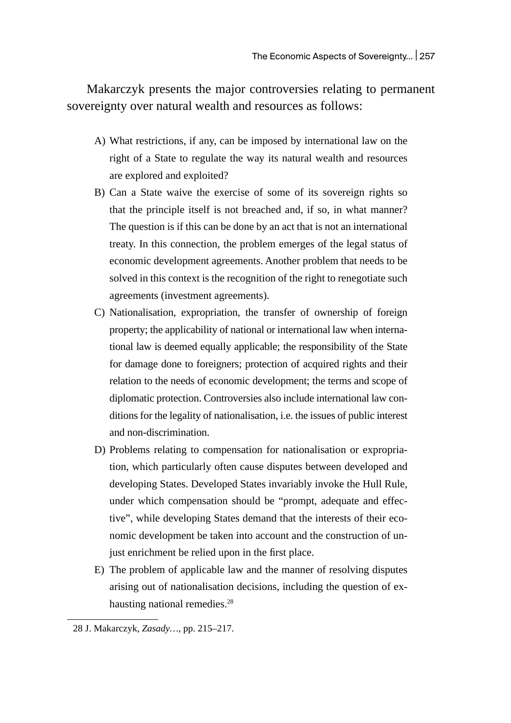Makarczyk presents the major controversies relating to permanent sovereignty over natural wealth and resources as follows:

- A) What restrictions, if any, can be imposed by international law on the right of a State to regulate the way its natural wealth and resources are explored and exploited?
- B) Can a State waive the exercise of some of its sovereign rights so that the principle itself is not breached and, if so, in what manner? The question is if this can be done by an act that is not an international treaty. In this connection, the problem emerges of the legal status of economic development agreements. Another problem that needs to be solved in this context is the recognition of the right to renegotiate such agreements (investment agreements).
- C) Nationalisation, expropriation, the transfer of ownership of foreign property; the applicability of national or international law when international law is deemed equally applicable; the responsibility of the State for damage done to foreigners; protection of acquired rights and their relation to the needs of economic development; the terms and scope of diplomatic protection. Controversies also include international law conditions for the legality of nationalisation, i.e. the issues of public interest and non-discrimination.
- D) Problems relating to compensation for nationalisation or expropriation, which particularly often cause disputes between developed and developing States. Developed States invariably invoke the Hull Rule, under which compensation should be "prompt, adequate and effective", while developing States demand that the interests of their economic development be taken into account and the construction of unjust enrichment be relied upon in the first place.
- E) The problem of applicable law and the manner of resolving disputes arising out of nationalisation decisions, including the question of exhausting national remedies.<sup>28</sup>

<sup>28</sup> J. Makarczyk, *Zasady…*, pp. 215–217.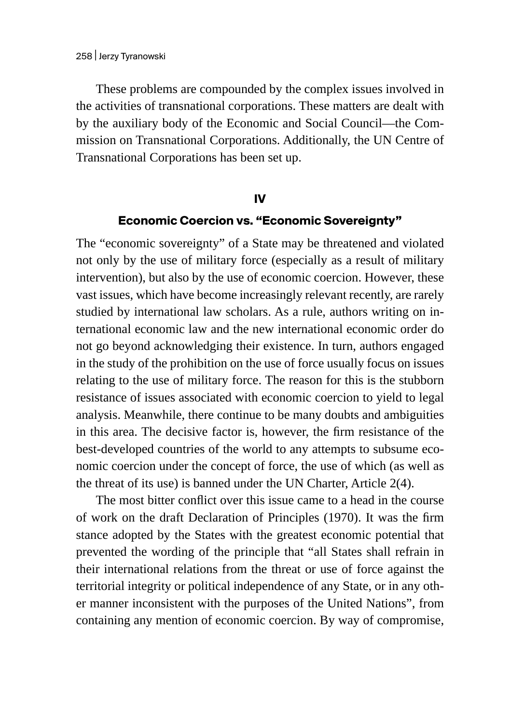These problems are compounded by the complex issues involved in the activities of transnational corporations. These matters are dealt with by the auxiliary body of the Economic and Social Council—the Commission on Transnational Corporations. Additionally, the UN Centre of Transnational Corporations has been set up.

#### **IV**

#### **Economic Coercion vs. "Economic Sovereignty"**

The "economic sovereignty" of a State may be threatened and violated not only by the use of military force (especially as a result of military intervention), but also by the use of economic coercion. However, these vast issues, which have become increasingly relevant recently, are rarely studied by international law scholars. As a rule, authors writing on international economic law and the new international economic order do not go beyond acknowledging their existence. In turn, authors engaged in the study of the prohibition on the use of force usually focus on issues relating to the use of military force. The reason for this is the stubborn resistance of issues associated with economic coercion to yield to legal analysis. Meanwhile, there continue to be many doubts and ambiguities in this area. The decisive factor is, however, the firm resistance of the best-developed countries of the world to any attempts to subsume economic coercion under the concept of force, the use of which (as well as the threat of its use) is banned under the UN Charter, Article 2(4).

The most bitter conflict over this issue came to a head in the course of work on the draft Declaration of Principles (1970). It was the firm stance adopted by the States with the greatest economic potential that prevented the wording of the principle that "all States shall refrain in their international relations from the threat or use of force against the territorial integrity or political independence of any State, or in any other manner inconsistent with the purposes of the United Nations", from containing any mention of economic coercion. By way of compromise,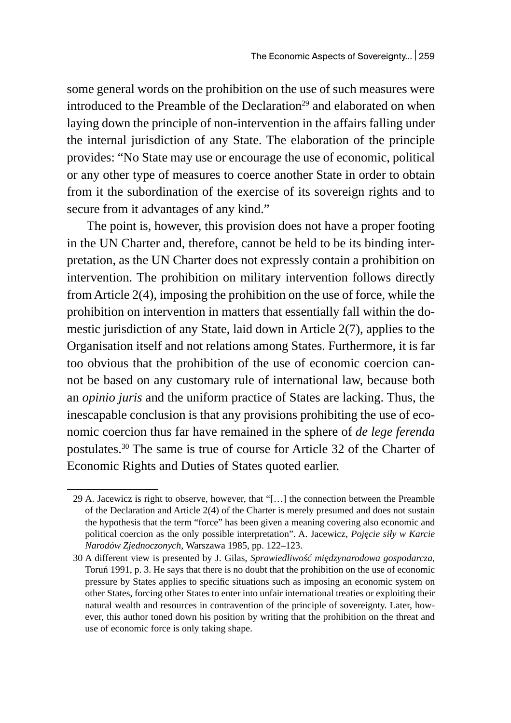some general words on the prohibition on the use of such measures were introduced to the Preamble of the Declaration<sup>29</sup> and elaborated on when laying down the principle of non-intervention in the affairs falling under the internal jurisdiction of any State. The elaboration of the principle provides: "No State may use or encourage the use of economic, political or any other type of measures to coerce another State in order to obtain from it the subordination of the exercise of its sovereign rights and to secure from it advantages of any kind."

The point is, however, this provision does not have a proper footing in the UN Charter and, therefore, cannot be held to be its binding interpretation, as the UN Charter does not expressly contain a prohibition on intervention. The prohibition on military intervention follows directly from Article 2(4), imposing the prohibition on the use of force, while the prohibition on intervention in matters that essentially fall within the domestic jurisdiction of any State, laid down in Article 2(7), applies to the Organisation itself and not relations among States. Furthermore, it is far too obvious that the prohibition of the use of economic coercion cannot be based on any customary rule of international law, because both an *opinio juris* and the uniform practice of States are lacking. Thus, the inescapable conclusion is that any provisions prohibiting the use of economic coercion thus far have remained in the sphere of *de lege ferenda* postulates.30 The same is true of course for Article 32 of the Charter of Economic Rights and Duties of States quoted earlier.

<sup>29</sup> A. Jacewicz is right to observe, however, that "[…] the connection between the Preamble of the Declaration and Article 2(4) of the Charter is merely presumed and does not sustain the hypothesis that the term "force" has been given a meaning covering also economic and political coercion as the only possible interpretation". A. Jacewicz, *Pojęcie siły w Karcie Narodów Zjednoczonych*, Warszawa 1985, pp. 122–123.

<sup>30</sup> A different view is presented by J. Gilas, *Sprawiedliwość międzynarodowa gospodarcza*, Toruń 1991, p. 3. He says that there is no doubt that the prohibition on the use of economic pressure by States applies to specific situations such as imposing an economic system on other States, forcing other States to enter into unfair international treaties or exploiting their natural wealth and resources in contravention of the principle of sovereignty. Later, however, this author toned down his position by writing that the prohibition on the threat and use of economic force is only taking shape.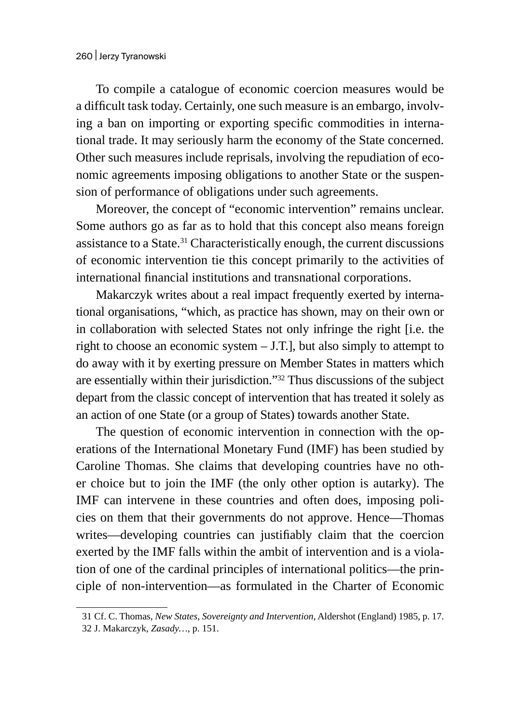To compile a catalogue of economic coercion measures would be a difficult task today. Certainly, one such measure is an embargo, involving a ban on importing or exporting specific commodities in international trade. It may seriously harm the economy of the State concerned. Other such measures include reprisals, involving the repudiation of economic agreements imposing obligations to another State or the suspension of performance of obligations under such agreements.

Moreover, the concept of "economic intervention" remains unclear. Some authors go as far as to hold that this concept also means foreign assistance to a State.<sup>31</sup> Characteristically enough, the current discussions of economic intervention tie this concept primarily to the activities of international financial institutions and transnational corporations.

Makarczyk writes about a real impact frequently exerted by international organisations, "which, as practice has shown, may on their own or in collaboration with selected States not only infringe the right [i.e. the right to choose an economic system  $-$  J.T.], but also simply to attempt to do away with it by exerting pressure on Member States in matters which are essentially within their jurisdiction."<sup>32</sup> Thus discussions of the subject depart from the classic concept of intervention that has treated it solely as an action of one State (or a group of States) towards another State.

The question of economic intervention in connection with the operations of the International Monetary Fund (IMF) has been studied by Caroline Thomas. She claims that developing countries have no other choice but to join the IMF (the only other option is autarky). The IMF can intervene in these countries and often does, imposing policies on them that their governments do not approve. Hence—Thomas writes—developing countries can justifiably claim that the coercion exerted by the IMF falls within the ambit of intervention and is a violation of one of the cardinal principles of international politics—the principle of non-intervention—as formulated in the Charter of Economic

<sup>31</sup> Cf. C. Thomas, *New States, Sovereignty and Intervention*, Aldershot (England) 1985, p. 17.

<sup>32</sup> J. Makarczyk, *Zasady…*, p. 151.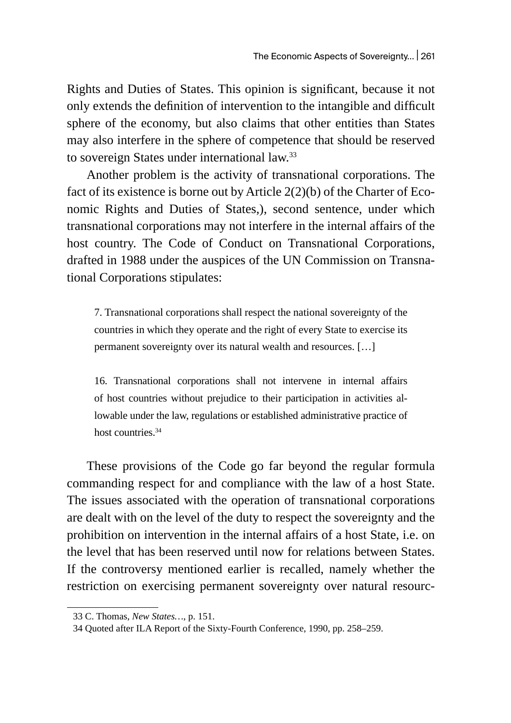Rights and Duties of States. This opinion is significant, because it not only extends the definition of intervention to the intangible and difficult sphere of the economy, but also claims that other entities than States may also interfere in the sphere of competence that should be reserved to sovereign States under international law.<sup>33</sup>

Another problem is the activity of transnational corporations. The fact of its existence is borne out by Article 2(2)(b) of the Charter of Economic Rights and Duties of States,), second sentence, under which transnational corporations may not interfere in the internal affairs of the host country. The Code of Conduct on Transnational Corporations, drafted in 1988 under the auspices of the UN Commission on Transnational Corporations stipulates:

7. Transnational corporations shall respect the national sovereignty of the countries in which they operate and the right of every State to exercise its permanent sovereignty over its natural wealth and resources. […]

16. Transnational corporations shall not intervene in internal affairs of host countries without prejudice to their participation in activities allowable under the law, regulations or established administrative practice of host countries.<sup>34</sup>

These provisions of the Code go far beyond the regular formula commanding respect for and compliance with the law of a host State. The issues associated with the operation of transnational corporations are dealt with on the level of the duty to respect the sovereignty and the prohibition on intervention in the internal affairs of a host State, i.e. on the level that has been reserved until now for relations between States. If the controversy mentioned earlier is recalled, namely whether the restriction on exercising permanent sovereignty over natural resourc-

<sup>33</sup> C. Thomas, *New States…*, p. 151.

<sup>34</sup> Quoted after ILA Report of the Sixty-Fourth Conference, 1990, pp. 258–259.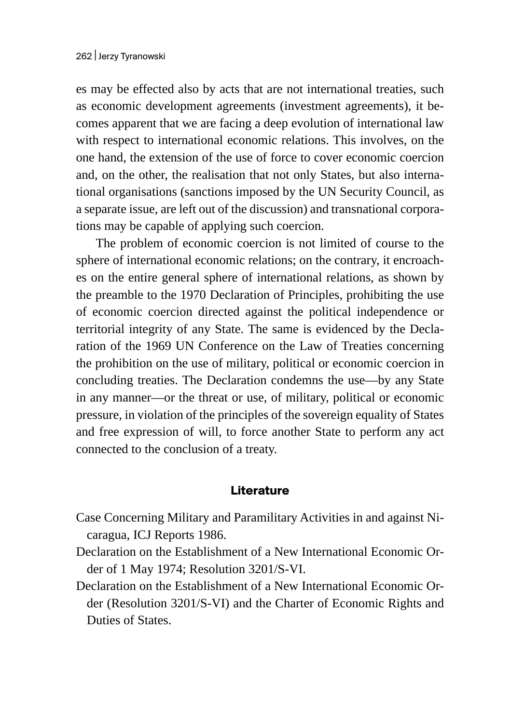es may be effected also by acts that are not international treaties, such as economic development agreements (investment agreements), it becomes apparent that we are facing a deep evolution of international law with respect to international economic relations. This involves, on the one hand, the extension of the use of force to cover economic coercion and, on the other, the realisation that not only States, but also international organisations (sanctions imposed by the UN Security Council, as a separate issue, are left out of the discussion) and transnational corporations may be capable of applying such coercion.

The problem of economic coercion is not limited of course to the sphere of international economic relations; on the contrary, it encroaches on the entire general sphere of international relations, as shown by the preamble to the 1970 Declaration of Principles, prohibiting the use of economic coercion directed against the political independence or territorial integrity of any State. The same is evidenced by the Declaration of the 1969 UN Conference on the Law of Treaties concerning the prohibition on the use of military, political or economic coercion in concluding treaties. The Declaration condemns the use—by any State in any manner—or the threat or use, of military, political or economic pressure, in violation of the principles of the sovereign equality of States and free expression of will, to force another State to perform any act connected to the conclusion of a treaty.

### **Literature**

- Case Concerning Military and Paramilitary Activities in and against Nicaragua, ICJ Reports 1986.
- Declaration on the Establishment of a New International Economic Order of 1 May 1974; Resolution 3201/S-VI.
- Declaration on the Establishment of a New International Economic Order (Resolution 3201/S-VI) and the Charter of Economic Rights and Duties of States.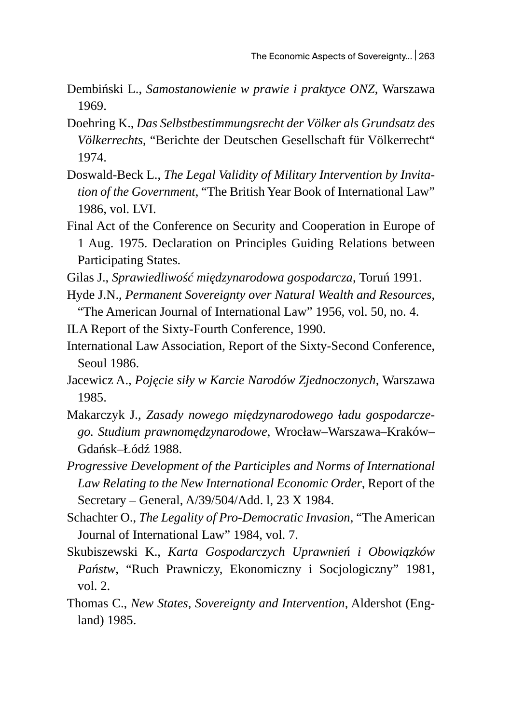- Dembiński L., *Samostanowienie w prawie i praktyce ONZ*, Warszawa 1969.
- Doehring K., *Das Selbstbestimmungsrecht der Völker als Grundsatz des Völkerrechts*, "Berichte der Deutschen Gesellschaft für Völkerrecht" 1974.
- Doswald-Beck L., *The Legal Validity of Military Intervention by Invitation of the Government*, "The British Year Book of International Law" 1986, vol. LVI.
- Final Act of the Conference on Security and Cooperation in Europe of 1 Aug. 1975. Declaration on Principles Guiding Relations between Participating States.
- Gilas J., *Sprawiedliwość międzynarodowa gospodarcza*, Toruń 1991.
- Hyde J.N., *Permanent Sovereignty over Natural Wealth and Resources*, "The American Journal of International Law" 1956, vol. 50, no. 4.
- ILA Report of the Sixty-Fourth Conference, 1990.
- International Law Association, Report of the Sixty-Second Conference, Seoul 1986.
- Jacewicz A., *Pojęcie siły w Karcie Narodów Zjednoczonych*, Warszawa 1985.
- Makarczyk J., *Zasady nowego międzynarodowego ładu gospodarczego. Studium prawnomędzynarodowe*, Wrocław–Warszawa–Kraków– Gdańsk–Łódź 1988.
- *Progressive Development of the Participles and Norms of International Law Relating to the New International Economic Order*, Report of the Secretary – General, A/39/504/Add. l, 23 X 1984.
- Schachter O., *The Legality of Pro-Democratic Invasion*, "The American Journal of International Law" 1984, vol. 7.
- Skubiszewski K., *Karta Gospodarczych Uprawnień i Obowiązków Państw*, "Ruch Prawniczy, Ekonomiczny i Socjologiczny" 1981, vol. 2.
- Thomas C., *New States, Sovereignty and Intervention*, Aldershot (England) 1985.